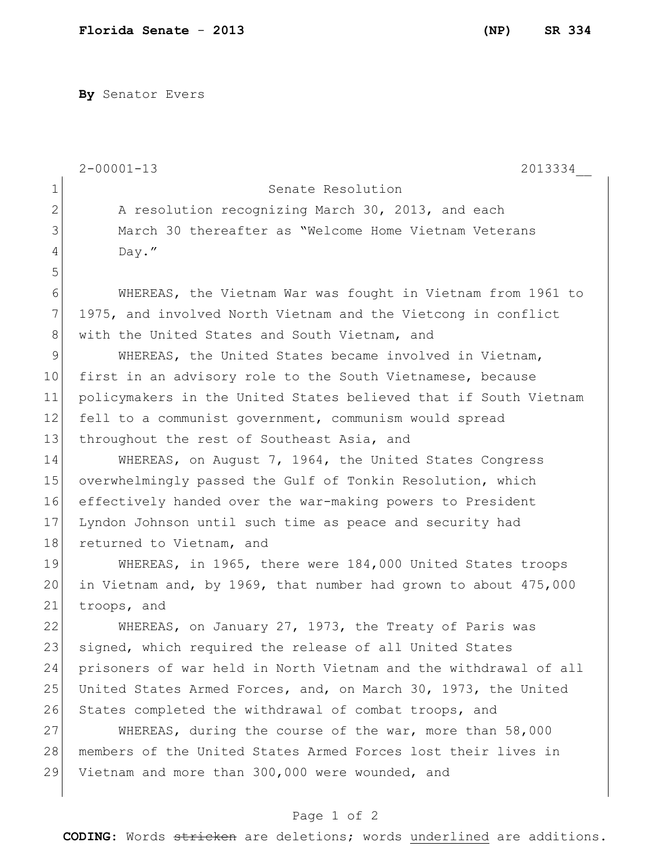**By** Senator Evers

|              | $2 - 00001 - 13$<br>2013334                                      |
|--------------|------------------------------------------------------------------|
| 1            | Senate Resolution                                                |
| $\mathbf{2}$ | A resolution recognizing March 30, 2013, and each                |
| 3            | March 30 thereafter as "Welcome Home Vietnam Veterans            |
| 4            | Day."                                                            |
| 5            |                                                                  |
| 6            | WHEREAS, the Vietnam War was fought in Vietnam from 1961 to      |
| 7            | 1975, and involved North Vietnam and the Vietcong in conflict    |
| $8\,$        | with the United States and South Vietnam, and                    |
| 9            | WHEREAS, the United States became involved in Vietnam,           |
| 10           | first in an advisory role to the South Vietnamese, because       |
| 11           | policymakers in the United States believed that if South Vietnam |
| 12           | fell to a communist government, communism would spread           |
| 13           | throughout the rest of Southeast Asia, and                       |
| 14           | WHEREAS, on August 7, 1964, the United States Congress           |
| 15           | overwhelmingly passed the Gulf of Tonkin Resolution, which       |
| 16           | effectively handed over the war-making powers to President       |
| 17           | Lyndon Johnson until such time as peace and security had         |
| 18           | returned to Vietnam, and                                         |
| 19           | WHEREAS, in 1965, there were 184,000 United States troops        |
| 20           | in Vietnam and, by 1969, that number had grown to about 475,000  |
| 21           | troops, and                                                      |
| 22           | WHEREAS, on January 27, 1973, the Treaty of Paris was            |
| 23           | signed, which required the release of all United States          |
| 24           | prisoners of war held in North Vietnam and the withdrawal of all |
| 25           | United States Armed Forces, and, on March 30, 1973, the United   |
| 26           | States completed the withdrawal of combat troops, and            |
| 27           | WHEREAS, during the course of the war, more than 58,000          |
| 28           | members of the United States Armed Forces lost their lives in    |
| 29           | Vietnam and more than 300,000 were wounded, and                  |
|              |                                                                  |

## Page 1 of 2

**CODING**: Words stricken are deletions; words underlined are additions.